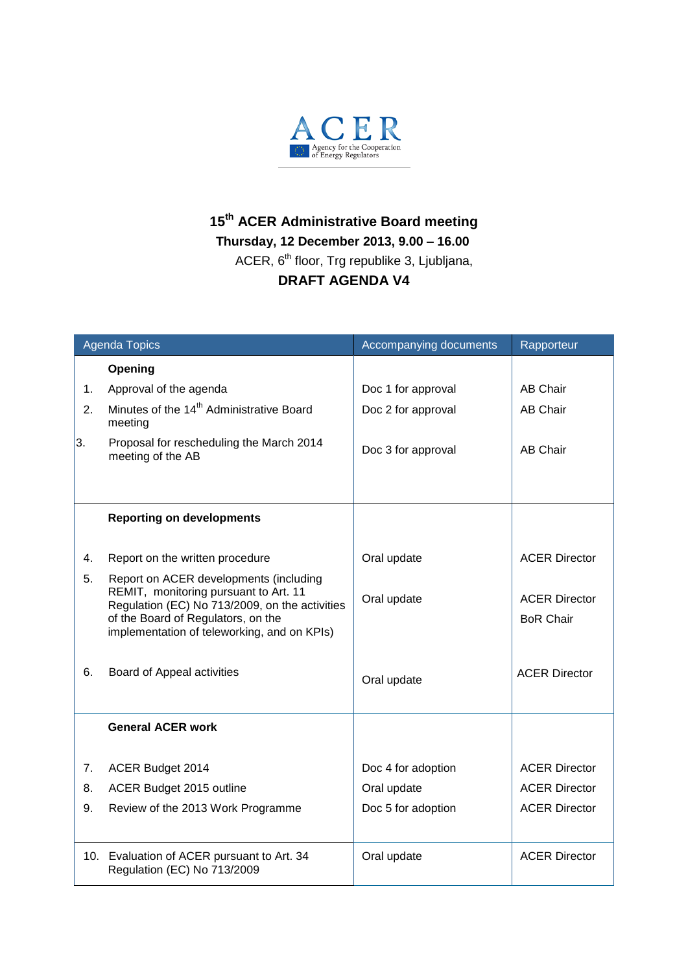

## **15 th ACER Administrative Board meeting Thursday, 12 December 2013, 9.00 – 16.00** ACER, 6<sup>th</sup> floor, Trg republike 3, Ljubljana, **DRAFT AGENDA V4**

| <b>Agenda Topics</b> |                                                                                                                                                                                                                        | Accompanying documents | Rapporteur                               |
|----------------------|------------------------------------------------------------------------------------------------------------------------------------------------------------------------------------------------------------------------|------------------------|------------------------------------------|
|                      | Opening                                                                                                                                                                                                                |                        |                                          |
| 1.                   | Approval of the agenda                                                                                                                                                                                                 | Doc 1 for approval     | <b>AB Chair</b>                          |
| 2.                   | Minutes of the 14 <sup>th</sup> Administrative Board<br>meeting                                                                                                                                                        | Doc 2 for approval     | <b>AB Chair</b>                          |
| 3.                   | Proposal for rescheduling the March 2014<br>meeting of the AB                                                                                                                                                          | Doc 3 for approval     | <b>AB Chair</b>                          |
|                      |                                                                                                                                                                                                                        |                        |                                          |
|                      | <b>Reporting on developments</b>                                                                                                                                                                                       |                        |                                          |
| 4.                   | Report on the written procedure                                                                                                                                                                                        | Oral update            | <b>ACER Director</b>                     |
| 5.                   | Report on ACER developments (including<br>REMIT, monitoring pursuant to Art. 11<br>Regulation (EC) No 713/2009, on the activities<br>of the Board of Regulators, on the<br>implementation of teleworking, and on KPIs) | Oral update            | <b>ACER Director</b><br><b>BoR Chair</b> |
| 6.                   | Board of Appeal activities                                                                                                                                                                                             | Oral update            | <b>ACER Director</b>                     |
|                      | <b>General ACER work</b>                                                                                                                                                                                               |                        |                                          |
| 7.                   | ACER Budget 2014                                                                                                                                                                                                       | Doc 4 for adoption     | <b>ACER Director</b>                     |
| 8.                   | ACER Budget 2015 outline                                                                                                                                                                                               | Oral update            | <b>ACER Director</b>                     |
| 9.                   | Review of the 2013 Work Programme                                                                                                                                                                                      | Doc 5 for adoption     | <b>ACER Director</b>                     |
|                      | 10. Evaluation of ACER pursuant to Art. 34<br>Regulation (EC) No 713/2009                                                                                                                                              | Oral update            | <b>ACER Director</b>                     |